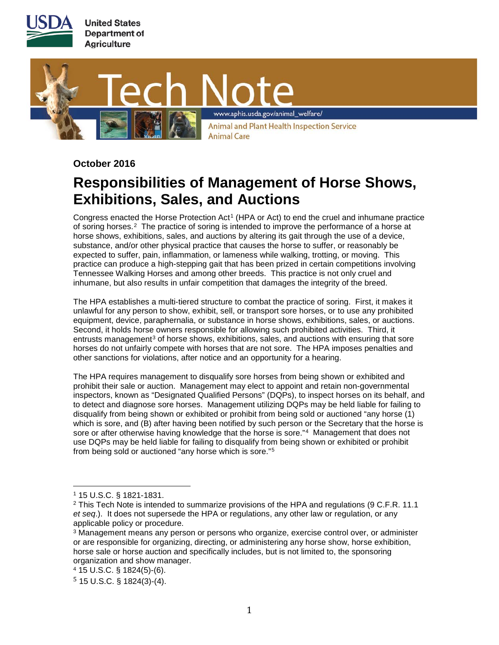



**October 2016**

## **Responsibilities of Management of Horse Shows, Exhibitions, Sales, and Auctions**

Congress enacted the Horse Protection Act[1](#page-0-0) (HPA or Act) to end the cruel and inhumane practice of soring horses.<sup>[2](#page-0-1)</sup> The practice of soring is intended to improve the performance of a horse at horse shows, exhibitions, sales, and auctions by altering its gait through the use of a device, substance, and/or other physical practice that causes the horse to suffer, or reasonably be expected to suffer, pain, inflammation, or lameness while walking, trotting, or moving. This practice can produce a high-stepping gait that has been prized in certain competitions involving Tennessee Walking Horses and among other breeds. This practice is not only cruel and inhumane, but also results in unfair competition that damages the integrity of the breed.

The HPA establishes a multi-tiered structure to combat the practice of soring. First, it makes it unlawful for any person to show, exhibit, sell, or transport sore horses, or to use any prohibited equipment, device, paraphernalia, or substance in horse shows, exhibitions, sales, or auctions. Second, it holds horse owners responsible for allowing such prohibited activities. Third, it entrusts management<sup>[3](#page-0-2)</sup> of horse shows, exhibitions, sales, and auctions with ensuring that sore horses do not unfairly compete with horses that are not sore. The HPA imposes penalties and other sanctions for violations, after notice and an opportunity for a hearing.

The HPA requires management to disqualify sore horses from being shown or exhibited and prohibit their sale or auction. Management may elect to appoint and retain non-governmental inspectors, known as "Designated Qualified Persons" (DQPs), to inspect horses on its behalf, and to detect and diagnose sore horses. Management utilizing DQPs may be held liable for failing to disqualify from being shown or exhibited or prohibit from being sold or auctioned "any horse (1) which is sore, and (B) after having been notified by such person or the Secretary that the horse is sore or after otherwise having knowledge that the horse is sore."<sup>4</sup> Management that does not use DQPs may be held liable for failing to disqualify from being shown or exhibited or prohibit from being sold or auctioned "any horse which is sore."[5](#page-0-4)

<span id="page-0-0"></span><sup>1</sup> 15 U.S.C. § 1821-1831.

<span id="page-0-1"></span> $2$  This Tech Note is intended to summarize provisions of the HPA and regulations (9 C.F.R. 11.1 *et seq*.). It does not supersede the HPA or regulations, any other law or regulation, or any applicable policy or procedure.

<span id="page-0-2"></span><sup>&</sup>lt;sup>3</sup> Management means any person or persons who organize, exercise control over, or administer or are responsible for organizing, directing, or administering any horse show, horse exhibition, horse sale or horse auction and specifically includes, but is not limited to, the sponsoring organization and show manager.

<span id="page-0-3"></span><sup>4</sup> 15 U.S.C. § 1824(5)-(6).

<span id="page-0-4"></span> $5$  15 U.S.C. § 1824(3)-(4).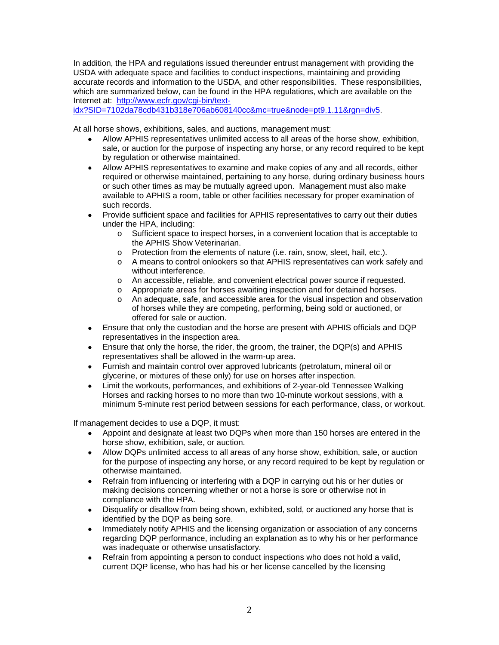In addition, the HPA and regulations issued thereunder entrust management with providing the USDA with adequate space and facilities to conduct inspections, maintaining and providing accurate records and information to the USDA, and other responsibilities. These responsibilities, which are summarized below, can be found in the HPA regulations, which are available on the Internet at: http://www.ecfr.gov/cgi-bin/text-

[idx?SID=7102da78cdb431b318e706ab608140cc&mc=true&node=pt9.1.11&rgn=div5.](http://www.ecfr.gov/cgi-bin/text-idx?SID=7102da78cdb431b318e706ab608140cc&mc=true&node=pt9.1.11&rgn=div5)

At all horse shows, exhibitions, sales, and auctions, management must:

- Allow APHIS representatives unlimited access to all areas of the horse show, exhibition, sale, or auction for the purpose of inspecting any horse, or any record required to be kept by regulation or otherwise maintained.
- Allow APHIS representatives to examine and make copies of any and all records, either required or otherwise maintained, pertaining to any horse, during ordinary business hours or such other times as may be mutually agreed upon. Management must also make available to APHIS a room, table or other facilities necessary for proper examination of such records.
- Provide sufficient space and facilities for APHIS representatives to carry out their duties under the HPA, including:
	- o Sufficient space to inspect horses, in a convenient location that is acceptable to the APHIS Show Veterinarian.
	- o Protection from the elements of nature (i.e. rain, snow, sleet, hail, etc.).
	- o A means to control onlookers so that APHIS representatives can work safely and without interference.
	- o An accessible, reliable, and convenient electrical power source if requested.
	- o Appropriate areas for horses awaiting inspection and for detained horses.
	- o An adequate, safe, and accessible area for the visual inspection and observation of horses while they are competing, performing, being sold or auctioned, or offered for sale or auction.
- Ensure that only the custodian and the horse are present with APHIS officials and DQP representatives in the inspection area.
- Ensure that only the horse, the rider, the groom, the trainer, the DQP(s) and APHIS representatives shall be allowed in the warm-up area.
- Furnish and maintain control over approved lubricants (petrolatum, mineral oil or glycerine, or mixtures of these only) for use on horses after inspection.
- Limit the workouts, performances, and exhibitions of 2-year-old Tennessee Walking Horses and racking horses to no more than two 10-minute workout sessions, with a minimum 5-minute rest period between sessions for each performance, class, or workout.

If management decides to use a DQP, it must:

- Appoint and designate at least two DQPs when more than 150 horses are entered in the horse show, exhibition, sale, or auction.
- Allow DQPs unlimited access to all areas of any horse show, exhibition, sale, or auction for the purpose of inspecting any horse, or any record required to be kept by regulation or otherwise maintained.
- Refrain from influencing or interfering with a DQP in carrying out his or her duties or making decisions concerning whether or not a horse is sore or otherwise not in compliance with the HPA.
- Disqualify or disallow from being shown, exhibited, sold, or auctioned any horse that is identified by the DQP as being sore.
- Immediately notify APHIS and the licensing organization or association of any concerns regarding DQP performance, including an explanation as to why his or her performance was inadequate or otherwise unsatisfactory.
- Refrain from appointing a person to conduct inspections who does not hold a valid, current DQP license, who has had his or her license cancelled by the licensing